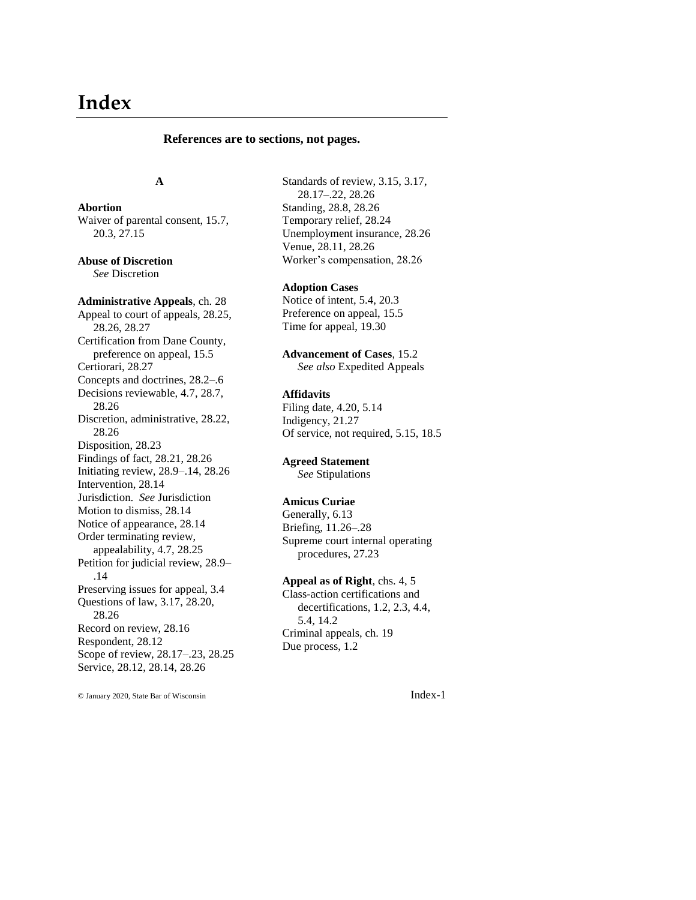# **Index**

#### **References are to sections, not pages.**

#### **A**

**Abortion** Waiver of parental consent, 15.7, 20.3, 27.15

**Abuse of Discretion** *See* Discretion

**Administrative Appeals**, ch. 28 Appeal to court of appeals, 28.25, 28.26, 28.27 Certification from Dane County, preference on appeal, 15.5 Certiorari, 28.27 Concepts and doctrines, 28.2–.6 Decisions reviewable, 4.7, 28.7, 28.26 Discretion, administrative, 28.22, 28.26 Disposition, 28.23 Findings of fact, 28.21, 28.26 Initiating review, 28.9–.14, 28.26 Intervention, 28.14 Jurisdiction. *See* Jurisdiction Motion to dismiss, 28.14 Notice of appearance, 28.14 Order terminating review, appealability, 4.7, 28.25 Petition for judicial review, 28.9– .14 Preserving issues for appeal, 3.4 Questions of law, 3.17, 28.20, 28.26 Record on review, 28.16 Respondent, 28.12 Scope of review, 28.17–.23, 28.25 Service, 28.12, 28.14, 28.26

© January 2020, State Bar of Wisconsin Index-1

Standards of review, 3.15, 3.17, 28.17–.22, 28.26 Standing, 28.8, 28.26 Temporary relief, 28.24 Unemployment insurance, 28.26 Venue, 28.11, 28.26 Worker's compensation, 28.26

**Adoption Cases**

Notice of intent, 5.4, 20.3 Preference on appeal, 15.5 Time for appeal, 19.30

**Advancement of Cases**, 15.2 *See also* Expedited Appeals

## **Affidavits**

Filing date, 4.20, 5.14 Indigency, 21.27 Of service, not required, 5.15, 18.5

#### **Agreed Statement**

*See* Stipulations

#### **Amicus Curiae**

Generally, 6.13 Briefing, 11.26–.28 Supreme court internal operating procedures, 27.23

## **Appeal as of Right**, chs. 4, 5

Class-action certifications and decertifications, 1.2, 2.3, 4.4, 5.4, 14.2 Criminal appeals, ch. 19 Due process, 1.2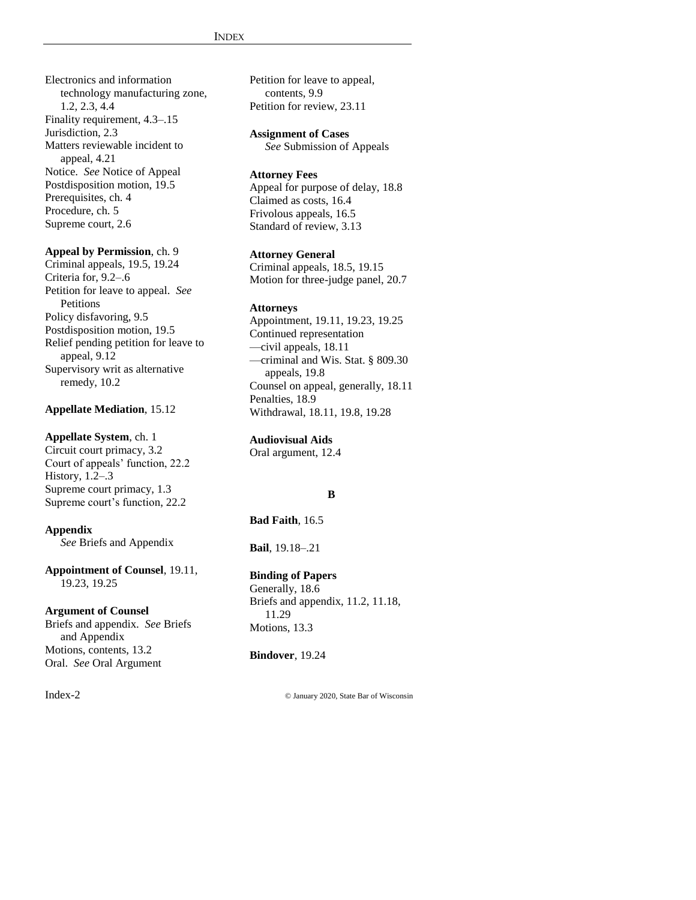Electronics and information technology manufacturing zone, 1.2, 2.3, 4.4 Finality requirement, 4.3–.15 Jurisdiction, 2.3 Matters reviewable incident to appeal, 4.21 Notice. *See* Notice of Appeal Postdisposition motion, 19.5 Prerequisites, ch. 4 Procedure, ch. 5 Supreme court, 2.6

#### **Appeal by Permission**, ch. 9

Criminal appeals, 19.5, 19.24 Criteria for, 9.2–.6 Petition for leave to appeal. *See* **Petitions** Policy disfavoring, 9.5 Postdisposition motion, 19.5 Relief pending petition for leave to appeal, 9.12 Supervisory writ as alternative remedy, 10.2

#### **Appellate Mediation**, 15.12

#### **Appellate System**, ch. 1

Circuit court primacy, 3.2 Court of appeals' function, 22.2 History, 1.2–.3 Supreme court primacy, 1.3 Supreme court's function, 22.2

#### **Appendix**

*See* Briefs and Appendix

**Appointment of Counsel**, 19.11, 19.23, 19.25

#### **Argument of Counsel**

Briefs and appendix. *See* Briefs and Appendix Motions, contents, 13.2 Oral. *See* Oral Argument

Petition for leave to appeal, contents, 9.9 Petition for review, 23.11

## **Assignment of Cases**

*See* Submission of Appeals

## **Attorney Fees**

Appeal for purpose of delay, 18.8 Claimed as costs, 16.4 Frivolous appeals, 16.5 Standard of review, 3.13

#### **Attorney General**

Criminal appeals, 18.5, 19.15 Motion for three-judge panel, 20.7

#### **Attorneys**

Appointment, 19.11, 19.23, 19.25 Continued representation —civil appeals, 18.11 —criminal and Wis. Stat. § 809.30 appeals, 19.8 Counsel on appeal, generally, 18.11 Penalties, 18.9 Withdrawal, 18.11, 19.8, 19.28

## **Audiovisual Aids**

Oral argument, 12.4

#### **B**

#### **Bad Faith**, 16.5

**Bail**, 19.18–.21

## **Binding of Papers**

Generally, 18.6 Briefs and appendix, 11.2, 11.18, 11.29 Motions, 13.3

## **Bindover**, 19.24

Index-2 © January 2020, State Bar of Wisconsin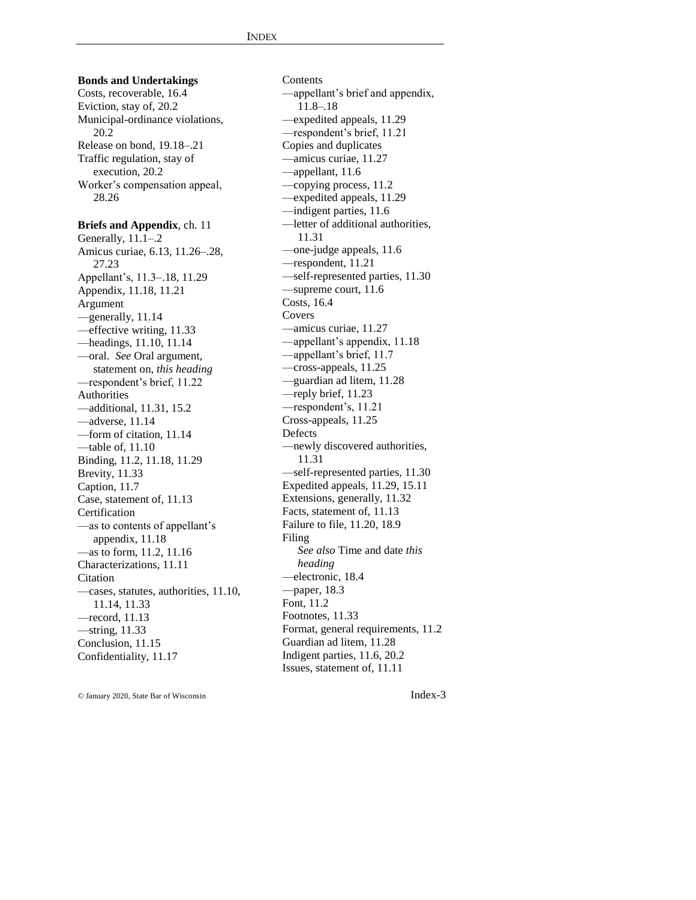**Bonds and Undertakings** Costs, recoverable, 16.4 Eviction, stay of, 20.2 Municipal-ordinance violations, 20.2 Release on bond, 19.18–.21 Traffic regulation, stay of execution, 20.2 Worker's compensation appeal, 28.26 **Briefs and Appendix**, ch. 11 Generally, 11.1–.2 Amicus curiae, 6.13, 11.26–.28, 27.23 Appellant's, 11.3–.18, 11.29 Appendix, 11.18, 11.21 Argument —generally, 11.14 —effective writing, 11.33 —headings, 11.10, 11.14 —oral. *See* Oral argument, statement on, *this heading* —respondent's brief, 11.22 Authorities —additional, 11.31, 15.2 —adverse, 11.14 —form of citation, 11.14 —table of, 11.10 Binding, 11.2, 11.18, 11.29 Brevity, 11.33 Caption, 11.7 Case, statement of, 11.13 Certification —as to contents of appellant's appendix, 11.18 —as to form, 11.2, 11.16 Characterizations, 11.11 Citation —cases, statutes, authorities, 11.10, 11.14, 11.33 —record, 11.13 —string, 11.33 Conclusion, 11.15 Confidentiality, 11.17

**Contents** —appellant's brief and appendix, 11.8–.18 —expedited appeals, 11.29 —respondent's brief, 11.21 Copies and duplicates —amicus curiae, 11.27 —appellant, 11.6 —copying process, 11.2 —expedited appeals, 11.29 —indigent parties, 11.6 —letter of additional authorities, 11.31 —one-judge appeals, 11.6 —respondent, 11.21 —self-represented parties, 11.30 —supreme court, 11.6 Costs, 16.4 Covers —amicus curiae, 11.27 —appellant's appendix, 11.18 —appellant's brief, 11.7 —cross-appeals, 11.25 —guardian ad litem, 11.28 —reply brief, 11.23 —respondent's, 11.21 Cross-appeals, 11.25 Defects —newly discovered authorities, 11.31 —self-represented parties, 11.30 Expedited appeals, 11.29, 15.11 Extensions, generally, 11.32 Facts, statement of, 11.13 Failure to file, 11.20, 18.9 Filing *See also* Time and date *this heading* —electronic, 18.4 —paper, 18.3 Font, 11.2 Footnotes, 11.33 Format, general requirements, 11.2 Guardian ad litem, 11.28 Indigent parties, 11.6, 20.2 Issues, statement of, 11.11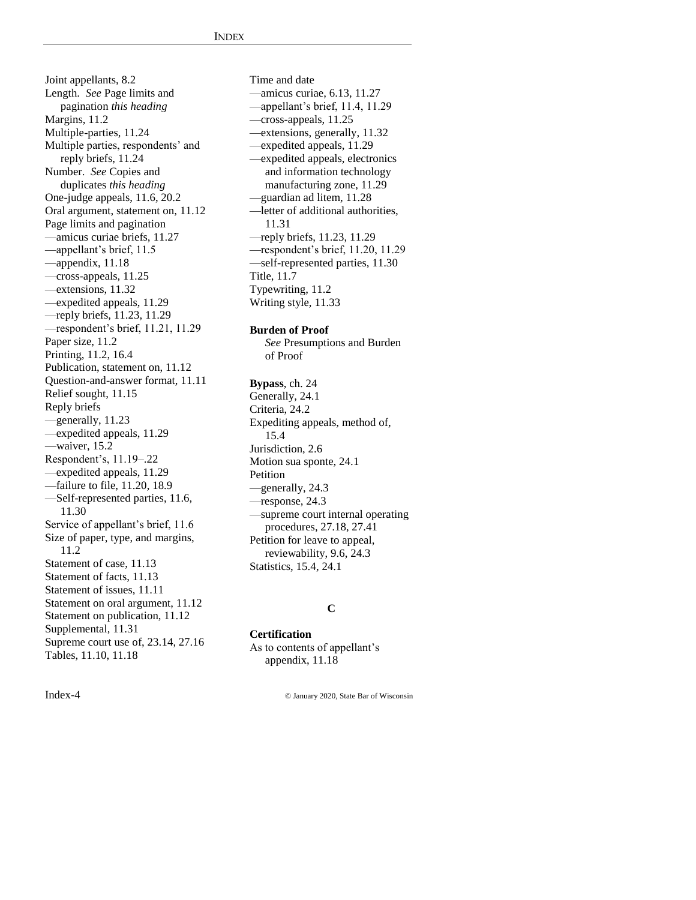Joint appellants, 8.2 Length. *See* Page limits and pagination *this heading* Margins, 11.2 Multiple-parties, 11.24 Multiple parties, respondents' and reply briefs, 11.24 Number. *See* Copies and duplicates *this heading* One-judge appeals, 11.6, 20.2 Oral argument, statement on, 11.12 Page limits and pagination —amicus curiae briefs, 11.27 —appellant's brief, 11.5 —appendix, 11.18 —cross-appeals, 11.25 —extensions, 11.32 —expedited appeals, 11.29 —reply briefs, 11.23, 11.29 —respondent's brief, 11.21, 11.29 Paper size, 11.2 Printing, 11.2, 16.4 Publication, statement on, 11.12 Question-and-answer format, 11.11 Relief sought, 11.15 Reply briefs —generally, 11.23 —expedited appeals, 11.29 —waiver, 15.2 Respondent's, 11.19–.22 —expedited appeals, 11.29 —failure to file, 11.20, 18.9 —Self-represented parties, 11.6, 11.30 Service of appellant's brief, 11.6 Size of paper, type, and margins, 11.2 Statement of case, 11.13 Statement of facts, 11.13 Statement of issues, 11.11 Statement on oral argument, 11.12 Statement on publication, 11.12 Supplemental, 11.31 Supreme court use of, 23.14, 27.16 Tables, 11.10, 11.18

Time and date —amicus curiae, 6.13, 11.27 —appellant's brief, 11.4, 11.29 —cross-appeals, 11.25 —extensions, generally, 11.32 —expedited appeals, 11.29 —expedited appeals, electronics and information technology manufacturing zone, 11.29 —guardian ad litem, 11.28 —letter of additional authorities, 11.31 —reply briefs, 11.23, 11.29 —respondent's brief, 11.20, 11.29 —self-represented parties, 11.30 Title, 11.7 Typewriting, 11.2 Writing style, 11.33

## **Burden of Proof**

*See* Presumptions and Burden of Proof

**Bypass**, ch. 24 Generally, 24.1 Criteria, 24.2 Expediting appeals, method of, 15.4 Jurisdiction, 2.6 Motion sua sponte, 24.1 Petition —generally, 24.3 —response, 24.3 —supreme court internal operating procedures, 27.18, 27.41 Petition for leave to appeal, reviewability, 9.6, 24.3 Statistics, 15.4, 24.1

## **C**

**Certification** As to contents of appellant's

appendix, 11.18

Index-4 © January 2020, State Bar of Wisconsin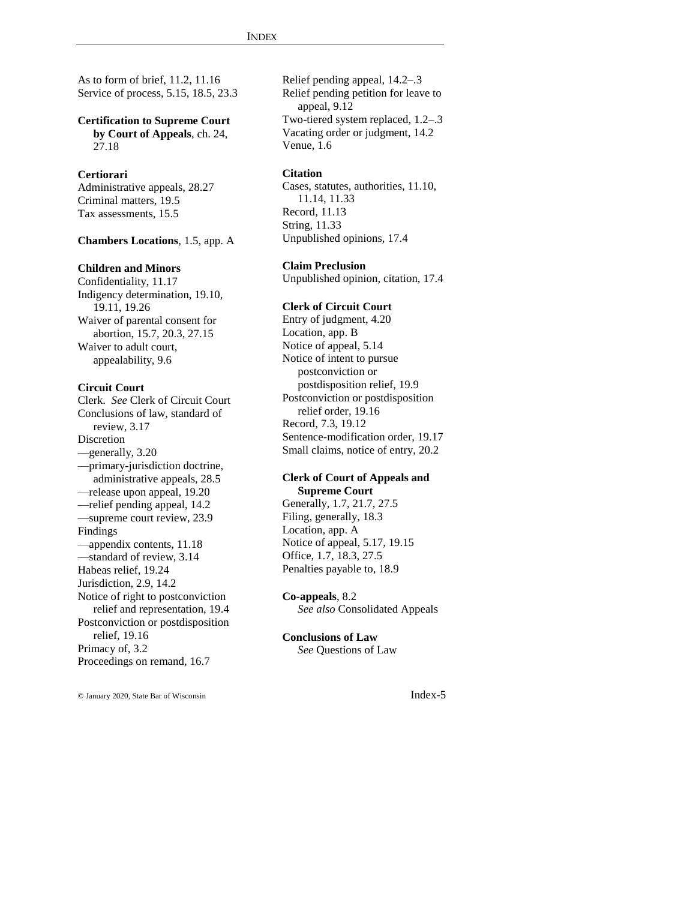As to form of brief, 11.2, 11.16 Service of process, 5.15, 18.5, 23.3

**Certification to Supreme Court by Court of Appeals**, ch. 24, 27.18

## **Certiorari**

Administrative appeals, 28.27 Criminal matters, 19.5 Tax assessments, 15.5

**Chambers Locations**, 1.5, app. A

#### **Children and Minors**

Confidentiality, 11.17 Indigency determination, 19.10, 19.11, 19.26 Waiver of parental consent for abortion, 15.7, 20.3, 27.15 Waiver to adult court, appealability, 9.6

## **Circuit Court**

Clerk. *See* Clerk of Circuit Court Conclusions of law, standard of review, 3.17 Discretion —generally, 3.20 —primary-jurisdiction doctrine, administrative appeals, 28.5 —release upon appeal, 19.20 —relief pending appeal, 14.2 —supreme court review, 23.9 Findings —appendix contents, 11.18 —standard of review, 3.14 Habeas relief, 19.24 Jurisdiction, 2.9, 14.2 Notice of right to postconviction relief and representation, 19.4 Postconviction or postdisposition relief, 19.16 Primacy of, 3.2 Proceedings on remand, 16.7

Relief pending appeal, 14.2–.3 Relief pending petition for leave to appeal, 9.12 Two-tiered system replaced, 1.2–.3 Vacating order or judgment, 14.2 Venue, 1.6

#### **Citation**

Cases, statutes, authorities, 11.10, 11.14, 11.33 Record, 11.13 String, 11.33 Unpublished opinions, 17.4

#### **Claim Preclusion**

Unpublished opinion, citation, 17.4

#### **Clerk of Circuit Court**

Entry of judgment, 4.20 Location, app. B Notice of appeal, 5.14 Notice of intent to pursue postconviction or postdisposition relief, 19.9 Postconviction or postdisposition relief order, 19.16 Record, 7.3, 19.12 Sentence-modification order, 19.17 Small claims, notice of entry, 20.2

#### **Clerk of Court of Appeals and Supreme Court**

Generally, 1.7, 21.7, 27.5 Filing, generally, 18.3 Location, app. A Notice of appeal, 5.17, 19.15 Office, 1.7, 18.3, 27.5 Penalties payable to, 18.9

**Co-appeals**, 8.2 *See also* Consolidated Appeals

## **Conclusions of Law**

*See* Questions of Law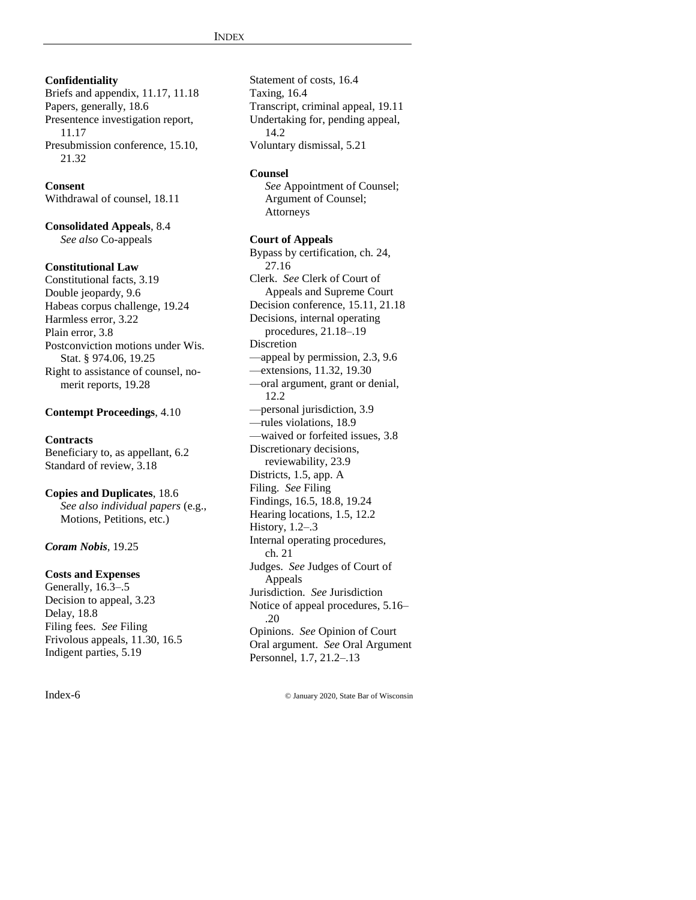**Confidentiality** Briefs and appendix, 11.17, 11.18 Papers, generally, 18.6 Presentence investigation report, 11.17 Presubmission conference, 15.10, 21.32

**Consent** Withdrawal of counsel, 18.11

**Consolidated Appeals**, 8.4 *See also* Co-appeals

## **Constitutional Law**

Constitutional facts, 3.19 Double jeopardy, 9.6 Habeas corpus challenge, 19.24 Harmless error, 3.22 Plain error, 3.8 Postconviction motions under Wis. Stat. § 974.06, 19.25 Right to assistance of counsel, nomerit reports, 19.28

## **Contempt Proceedings**, 4.10

#### **Contracts**

Beneficiary to, as appellant, 6.2 Standard of review, 3.18

#### **Copies and Duplicates**, 18.6

*See also individual papers* (e.g., Motions, Petitions, etc.)

#### *Coram Nobis*, 19.25

#### **Costs and Expenses**

Generally, 16.3–.5 Decision to appeal, 3.23 Delay, 18.8 Filing fees. *See* Filing Frivolous appeals, 11.30, 16.5 Indigent parties, 5.19

Statement of costs, 16.4 Taxing, 16.4 Transcript, criminal appeal, 19.11 Undertaking for, pending appeal, 14.2 Voluntary dismissal, 5.21

#### **Counsel**

*See* Appointment of Counsel; Argument of Counsel; Attorneys

#### **Court of Appeals**

Bypass by certification, ch. 24, 27.16 Clerk. *See* Clerk of Court of Appeals and Supreme Court Decision conference, 15.11, 21.18 Decisions, internal operating procedures, 21.18–.19 Discretion —appeal by permission, 2.3, 9.6 —extensions, 11.32, 19.30 —oral argument, grant or denial, 12.2 —personal jurisdiction, 3.9 —rules violations, 18.9 —waived or forfeited issues, 3.8 Discretionary decisions, reviewability, 23.9 Districts, 1.5, app. A Filing. *See* Filing Findings, 16.5, 18.8, 19.24 Hearing locations, 1.5, 12.2 History, 1.2–.3 Internal operating procedures, ch. 21 Judges. *See* Judges of Court of Appeals Jurisdiction. *See* Jurisdiction Notice of appeal procedures, 5.16– .20 Opinions. *See* Opinion of Court Oral argument. *See* Oral Argument Personnel, 1.7, 21.2–.13

Index-6 © January 2020, State Bar of Wisconsin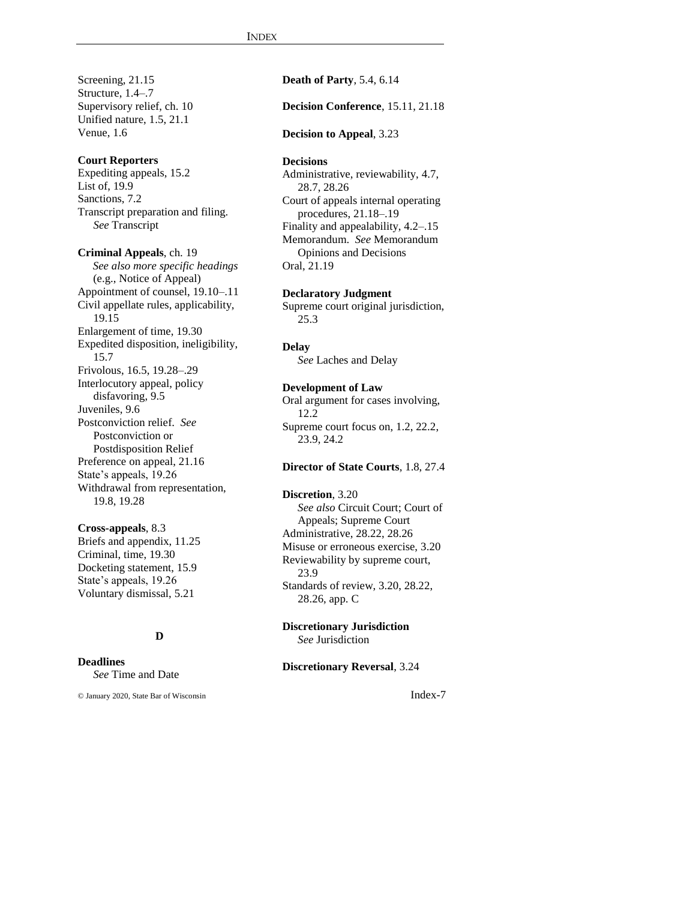Screening, 21.15 Structure, 1.4–.7 Supervisory relief, ch. 10 Unified nature, 1.5, 21.1 Venue, 1.6

#### **Court Reporters**

Expediting appeals, 15.2 List of, 19.9 Sanctions, 7.2 Transcript preparation and filing. *See* Transcript

**Criminal Appeals**, ch. 19 *See also more specific headings* (e.g., Notice of Appeal) Appointment of counsel, 19.10–.11 Civil appellate rules, applicability, 19.15 Enlargement of time, 19.30 Expedited disposition, ineligibility, 15.7 Frivolous, 16.5, 19.28–.29 Interlocutory appeal, policy disfavoring, 9.5 Juveniles, 9.6 Postconviction relief. *See* Postconviction or Postdisposition Relief Preference on appeal, 21.16 State's appeals, 19.26 Withdrawal from representation, 19.8, 19.28

## **Cross-appeals**, 8.3

Briefs and appendix, 11.25 Criminal, time, 19.30 Docketing statement, 15.9 State's appeals, 19.26 Voluntary dismissal, 5.21

## **D**

## **Deadlines**

*See* Time and Date

© January 2020, State Bar of Wisconsin Index-7

#### **Death of Party**, 5.4, 6.14

#### **Decision Conference**, 15.11, 21.18

#### **Decision to Appeal**, 3.23

#### **Decisions**

Administrative, reviewability, 4.7, 28.7, 28.26 Court of appeals internal operating procedures, 21.18–.19 Finality and appealability, 4.2–.15 Memorandum. *See* Memorandum Opinions and Decisions Oral, 21.19

#### **Declaratory Judgment**

Supreme court original jurisdiction, 25.3

#### **Delay**

*See* Laches and Delay

## **Development of Law**

Oral argument for cases involving, 12.2 Supreme court focus on, 1.2, 22.2, 23.9, 24.2

#### **Director of State Courts**, 1.8, 27.4

#### **Discretion**, 3.20

*See also* Circuit Court; Court of Appeals; Supreme Court Administrative, 28.22, 28.26 Misuse or erroneous exercise, 3.20 Reviewability by supreme court, 23.9 Standards of review, 3.20, 28.22, 28.26, app. C

#### **Discretionary Jurisdiction** *See* Jurisdiction

#### **Discretionary Reversal**, 3.24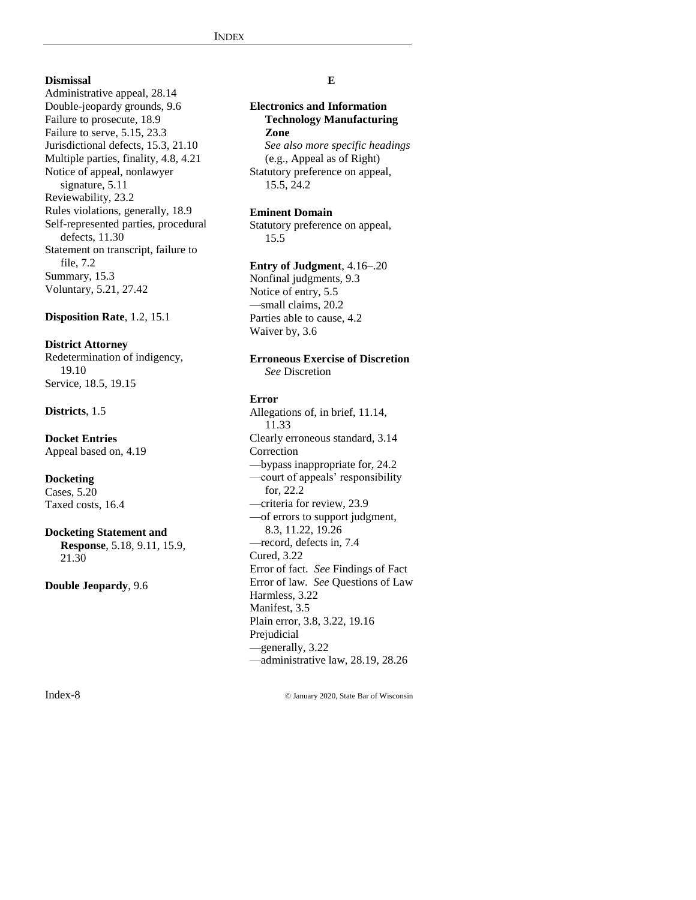## **Dismissal**

Administrative appeal, 28.14 Double-jeopardy grounds, 9.6 Failure to prosecute, 18.9 Failure to serve, 5.15, 23.3 Jurisdictional defects, 15.3, 21.10 Multiple parties, finality, 4.8, 4.21 Notice of appeal, nonlawyer signature, 5.11 Reviewability, 23.2 Rules violations, generally, 18.9 Self-represented parties, procedural defects, 11.30 Statement on transcript, failure to file, 7.2 Summary, 15.3 Voluntary, 5.21, 27.42

#### **Disposition Rate**, 1.2, 15.1

#### **District Attorney**

Redetermination of indigency, 19.10 Service, 18.5, 19.15

#### **Districts**, 1.5

**Docket Entries** Appeal based on, 4.19

#### **Docketing**

Cases, 5.20 Taxed costs, 16.4

#### **Docketing Statement and**

**Response**, 5.18, 9.11, 15.9, 21.30

**Double Jeopardy**, 9.6

#### **E**

## **Electronics and Information Technology Manufacturing Zone** *See also more specific headings*

(e.g., Appeal as of Right) Statutory preference on appeal, 15.5, 24.2

#### **Eminent Domain**

Statutory preference on appeal, 15.5

#### **Entry of Judgment**, 4.16–.20

Nonfinal judgments, 9.3 Notice of entry, 5.5 —small claims, 20.2 Parties able to cause, 4.2 Waiver by, 3.6

#### **Erroneous Exercise of Discretion** *See* Discretion

#### **Error**

Allegations of, in brief, 11.14, 11.33 Clearly erroneous standard, 3.14 Correction —bypass inappropriate for, 24.2 —court of appeals' responsibility for, 22.2 —criteria for review, 23.9 —of errors to support judgment, 8.3, 11.22, 19.26 —record, defects in, 7.4 Cured, 3.22 Error of fact. *See* Findings of Fact Error of law. *See* Questions of Law Harmless, 3.22 Manifest, 3.5 Plain error, 3.8, 3.22, 19.16 Prejudicial —generally, 3.22 —administrative law, 28.19, 28.26

Index-8 © January 2020, State Bar of Wisconsin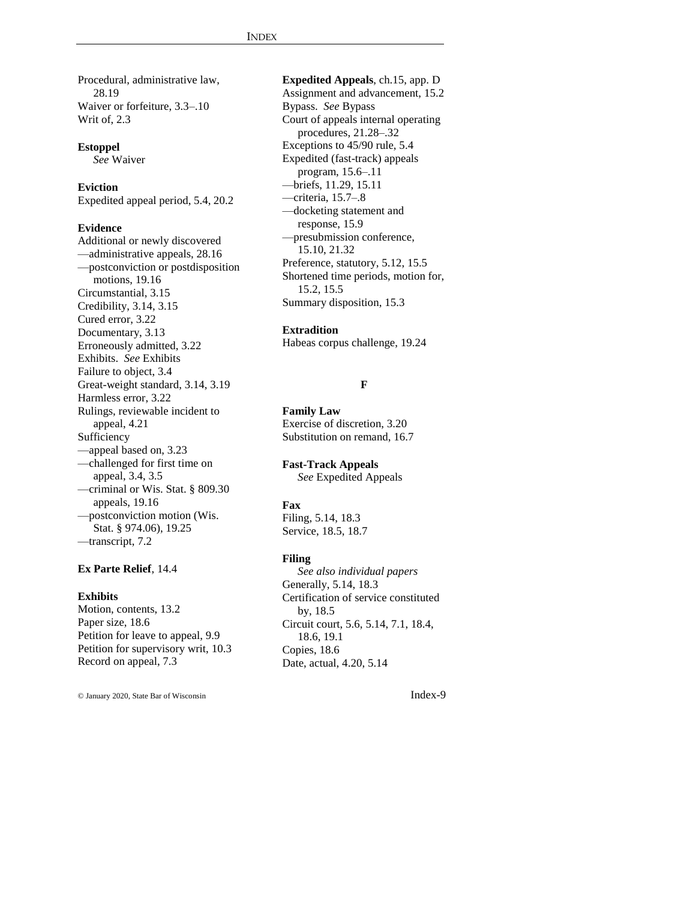Procedural, administrative law, 28.19 Waiver or forfeiture, 3.3–.10 Writ of, 2.3

**Estoppel** *See* Waiver

## **Eviction**

Expedited appeal period, 5.4, 20.2

#### **Evidence**

Additional or newly discovered —administrative appeals, 28.16 —postconviction or postdisposition motions, 19.16 Circumstantial, 3.15 Credibility, 3.14, 3.15 Cured error, 3.22 Documentary, 3.13 Erroneously admitted, 3.22 Exhibits. *See* Exhibits Failure to object, 3.4 Great-weight standard, 3.14, 3.19 Harmless error, 3.22 Rulings, reviewable incident to appeal, 4.21 Sufficiency —appeal based on, 3.23 —challenged for first time on appeal, 3.4, 3.5 —criminal or Wis. Stat. § 809.30 appeals, 19.16 —postconviction motion (Wis. Stat. § 974.06), 19.25 —transcript, 7.2

## **Ex Parte Relief**, 14.4

#### **Exhibits**

Motion, contents, 13.2 Paper size, 18.6 Petition for leave to appeal, 9.9 Petition for supervisory writ, 10.3 Record on appeal, 7.3

© January 2020, State Bar of Wisconsin Index-9

**Expedited Appeals**, ch.15, app. D Assignment and advancement, 15.2 Bypass. *See* Bypass Court of appeals internal operating procedures, 21.28–.32 Exceptions to 45/90 rule, 5.4 Expedited (fast-track) appeals program, 15.6–.11 —briefs, 11.29, 15.11 —criteria, 15.7–.8 —docketing statement and response, 15.9 —presubmission conference, 15.10, 21.32 Preference, statutory, 5.12, 15.5 Shortened time periods, motion for, 15.2, 15.5 Summary disposition, 15.3

#### **Extradition**

Habeas corpus challenge, 19.24

### **F**

**Family Law** Exercise of discretion, 3.20 Substitution on remand, 16.7

**Fast-Track Appeals** *See* Expedited Appeals

### **Fax**

Filing, 5.14, 18.3 Service, 18.5, 18.7

#### **Filing**

*See also individual papers* Generally, 5.14, 18.3 Certification of service constituted by, 18.5 Circuit court, 5.6, 5.14, 7.1, 18.4, 18.6, 19.1 Copies, 18.6 Date, actual, 4.20, 5.14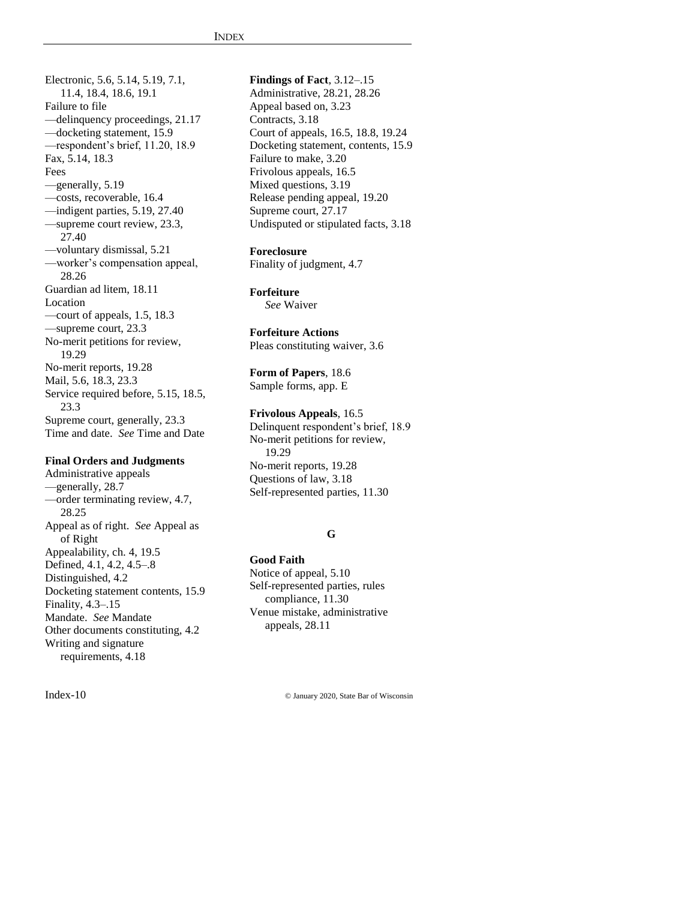Electronic, 5.6, 5.14, 5.19, 7.1, 11.4, 18.4, 18.6, 19.1 Failure to file —delinquency proceedings, 21.17 —docketing statement, 15.9 —respondent's brief, 11.20, 18.9 Fax, 5.14, 18.3 Fees —generally, 5.19 —costs, recoverable, 16.4 —indigent parties, 5.19, 27.40 —supreme court review, 23.3, 27.40 —voluntary dismissal, 5.21 —worker's compensation appeal, 28.26 Guardian ad litem, 18.11 Location —court of appeals, 1.5, 18.3 —supreme court, 23.3 No-merit petitions for review, 19.29 No-merit reports, 19.28 Mail, 5.6, 18.3, 23.3 Service required before, 5.15, 18.5, 23.3 Supreme court, generally, 23.3 Time and date. *See* Time and Date

#### **Final Orders and Judgments**

Administrative appeals —generally, 28.7 —order terminating review, 4.7, 28.25 Appeal as of right. *See* Appeal as of Right Appealability, ch. 4, 19.5 Defined, 4.1, 4.2, 4.5–.8 Distinguished, 4.2 Docketing statement contents, 15.9 Finality, 4.3–.15 Mandate. *See* Mandate Other documents constituting, 4.2 Writing and signature requirements, 4.18

**Findings of Fact**, 3.12–.15 Administrative, 28.21, 28.26 Appeal based on, 3.23 Contracts, 3.18 Court of appeals, 16.5, 18.8, 19.24 Docketing statement, contents, 15.9 Failure to make, 3.20 Frivolous appeals, 16.5 Mixed questions, 3.19 Release pending appeal, 19.20 Supreme court, 27.17 Undisputed or stipulated facts, 3.18

**Foreclosure** Finality of judgment, 4.7

**Forfeiture** *See* Waiver

**Forfeiture Actions** Pleas constituting waiver, 3.6

**Form of Papers**, 18.6 Sample forms, app. E

**Frivolous Appeals**, 16.5 Delinquent respondent's brief, 18.9 No-merit petitions for review, 19.29 No-merit reports, 19.28 Questions of law, 3.18 Self-represented parties, 11.30

### **G**

**Good Faith**

Notice of appeal, 5.10 Self-represented parties, rules compliance, 11.30 Venue mistake, administrative appeals, 28.11

Index-10 © January 2020, State Bar of Wisconsin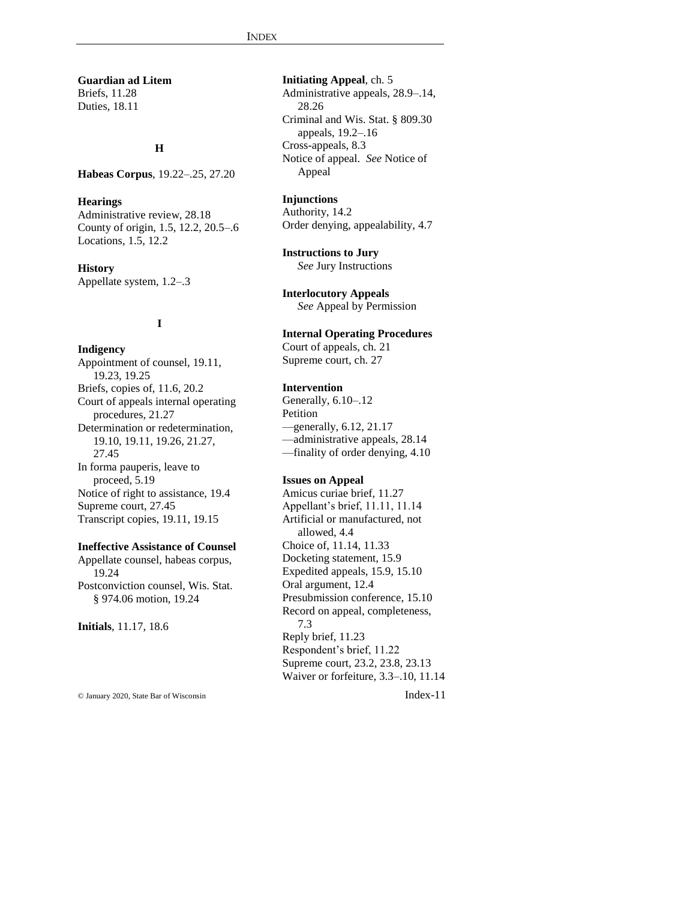**Guardian ad Litem** Briefs, 11.28 Duties, 18.11

#### **H**

**Habeas Corpus**, 19.22–.25, 27.20

#### **Hearings**

Administrative review, 28.18 County of origin, 1.5, 12.2, 20.5–.6 Locations, 1.5, 12.2

**History** Appellate system, 1.2–.3

## **I**

**Indigency** Appointment of counsel, 19.11, 19.23, 19.25 Briefs, copies of, 11.6, 20.2 Court of appeals internal operating procedures, 21.27 Determination or redetermination, 19.10, 19.11, 19.26, 21.27, 27.45 In forma pauperis, leave to proceed, 5.19 Notice of right to assistance, 19.4 Supreme court, 27.45 Transcript copies, 19.11, 19.15

#### **Ineffective Assistance of Counsel**

Appellate counsel, habeas corpus, 19.24 Postconviction counsel, Wis. Stat. § 974.06 motion, 19.24

**Initials**, 11.17, 18.6

**Initiating Appeal**, ch. 5 Administrative appeals, 28.9–.14, 28.26 Criminal and Wis. Stat. § 809.30 appeals, 19.2–.16 Cross-appeals, 8.3 Notice of appeal. *See* Notice of Appeal

## **Injunctions**

Authority, 14.2 Order denying, appealability, 4.7

**Instructions to Jury** *See* Jury Instructions

**Interlocutory Appeals** *See* Appeal by Permission

#### **Internal Operating Procedures**

Court of appeals, ch. 21 Supreme court, ch. 27

## **Intervention**

Generally, 6.10–.12 Petition —generally, 6.12, 21.17 —administrative appeals, 28.14 —finality of order denying, 4.10

## **Issues on Appeal**

Amicus curiae brief, 11.27 Appellant's brief, 11.11, 11.14 Artificial or manufactured, not allowed, 4.4 Choice of, 11.14, 11.33 Docketing statement, 15.9 Expedited appeals, 15.9, 15.10 Oral argument, 12.4 Presubmission conference, 15.10 Record on appeal, completeness, 7.3 Reply brief, 11.23 Respondent's brief, 11.22 Supreme court, 23.2, 23.8, 23.13 Waiver or forfeiture, 3.3–.10, 11.14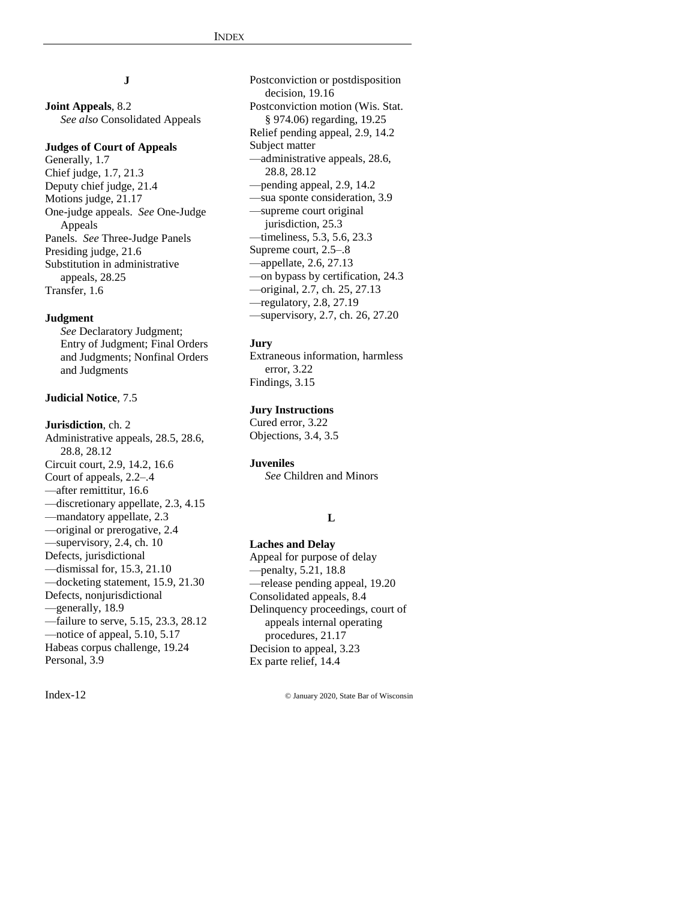## **J**

**Joint Appeals**, 8.2 *See also* Consolidated Appeals

#### **Judges of Court of Appeals**

Generally, 1.7 Chief judge, 1.7, 21.3 Deputy chief judge, 21.4 Motions judge, 21.17 One-judge appeals. *See* One-Judge Appeals Panels. *See* Three-Judge Panels Presiding judge, 21.6 Substitution in administrative appeals, 28.25 Transfer, 1.6

#### **Judgment**

*See* Declaratory Judgment; Entry of Judgment; Final Orders and Judgments; Nonfinal Orders and Judgments

#### **Judicial Notice**, 7.5

**Jurisdiction**, ch. 2 Administrative appeals, 28.5, 28.6, 28.8, 28.12 Circuit court, 2.9, 14.2, 16.6 Court of appeals, 2.2–.4

- —after remittitur, 16.6
- —discretionary appellate, 2.3, 4.15
- —mandatory appellate, 2.3
- —original or prerogative, 2.4 —supervisory, 2.4, ch. 10 Defects, jurisdictional —dismissal for, 15.3, 21.10 —docketing statement, 15.9, 21.30 Defects, nonjurisdictional
- —generally, 18.9
- —failure to serve, 5.15, 23.3, 28.12 —notice of appeal, 5.10, 5.17 Habeas corpus challenge, 19.24 Personal, 3.9

Postconviction or postdisposition decision, 19.16 Postconviction motion (Wis. Stat. § 974.06) regarding, 19.25 Relief pending appeal, 2.9, 14.2 Subject matter —administrative appeals, 28.6, 28.8, 28.12 —pending appeal, 2.9, 14.2 —sua sponte consideration, 3.9 —supreme court original jurisdiction, 25.3 —timeliness, 5.3, 5.6, 23.3 Supreme court, 2.5–.8 —appellate, 2.6, 27.13 —on bypass by certification, 24.3 —original, 2.7, ch. 25, 27.13 —regulatory, 2.8, 27.19 —supervisory, 2.7, ch. 26, 27.20

#### **Jury**

Extraneous information, harmless error, 3.22 Findings, 3.15

## **Jury Instructions**

Cured error, 3.22 Objections, 3.4, 3.5

### **Juveniles**

*See* Children and Minors

#### **L**

#### **Laches and Delay**

Appeal for purpose of delay —penalty, 5.21, 18.8 —release pending appeal, 19.20 Consolidated appeals, 8.4 Delinquency proceedings, court of appeals internal operating procedures, 21.17 Decision to appeal, 3.23 Ex parte relief, 14.4

Index-12 © January 2020, State Bar of Wisconsin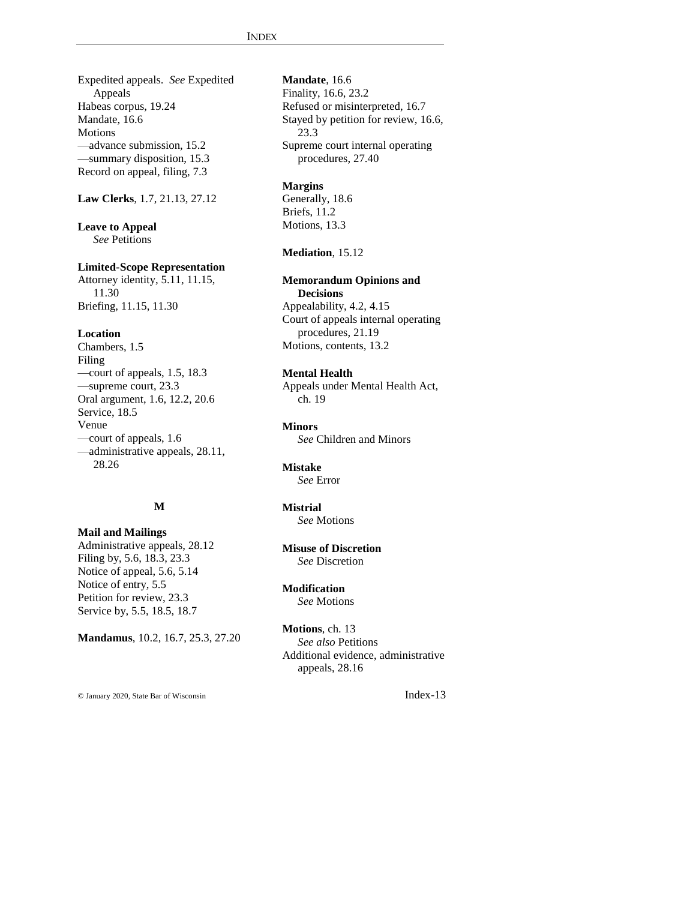Expedited appeals. *See* Expedited Appeals Habeas corpus, 19.24 Mandate, 16.6 Motions —advance submission, 15.2 —summary disposition, 15.3 Record on appeal, filing, 7.3

**Law Clerks**, 1.7, 21.13, 27.12

**Leave to Appeal** *See* Petitions

#### **Limited-Scope Representation**

Attorney identity, 5.11, 11.15, 11.30 Briefing, 11.15, 11.30

#### **Location**

Chambers, 1.5 Filing —court of appeals, 1.5, 18.3 —supreme court, 23.3 Oral argument, 1.6, 12.2, 20.6 Service, 18.5 Venue —court of appeals, 1.6 —administrative appeals, 28.11, 28.26

## **M**

**Mail and Mailings** Administrative appeals, 28.12 Filing by, 5.6, 18.3, 23.3 Notice of appeal, 5.6, 5.14 Notice of entry, 5.5 Petition for review, 23.3

Service by, 5.5, 18.5, 18.7

**Mandamus**, 10.2, 16.7, 25.3, 27.20

**Mandate**, 16.6

Finality, 16.6, 23.2 Refused or misinterpreted, 16.7 Stayed by petition for review, 16.6, 23.3 Supreme court internal operating procedures, 27.40

## **Margins**

Generally, 18.6 Briefs, 11.2 Motions, 13.3

### **Mediation**, 15.12

**Memorandum Opinions and** 

**Decisions** Appealability, 4.2, 4.15 Court of appeals internal operating procedures, 21.19 Motions, contents, 13.2

#### **Mental Health**

Appeals under Mental Health Act, ch. 19

**Minors** *See* Children and Minors

#### **Mistake**

*See* Error

## **Mistrial**

*See* Motions

**Misuse of Discretion** *See* Discretion

**Modification** *See* Motions

**Motions**, ch. 13 *See also* Petitions Additional evidence, administrative appeals, 28.16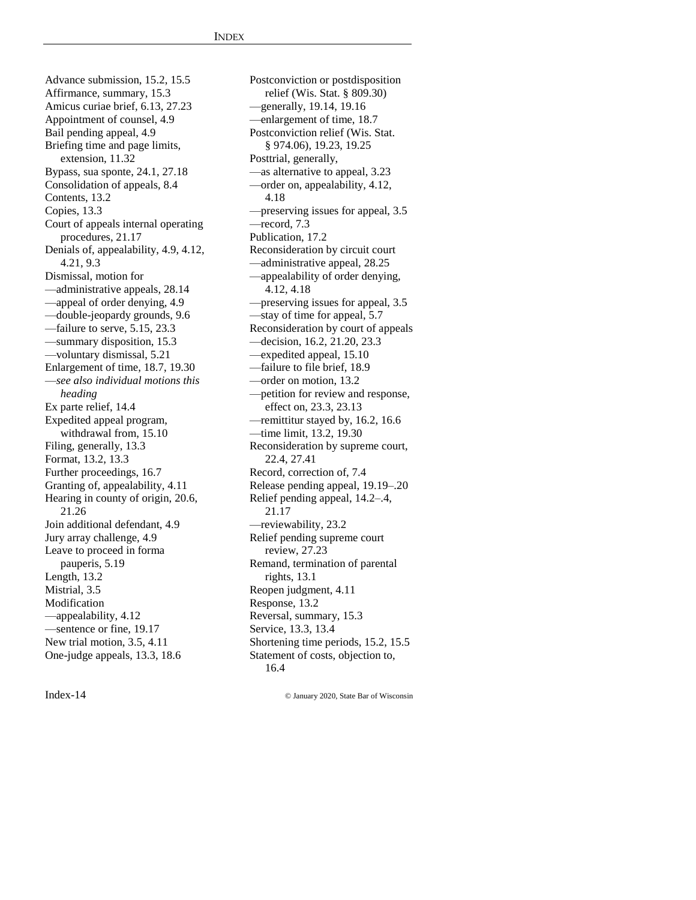Advance submission, 15.2, 15.5 Affirmance, summary, 15.3 Amicus curiae brief, 6.13, 27.23 Appointment of counsel, 4.9 Bail pending appeal, 4.9 Briefing time and page limits, extension, 11.32 Bypass, sua sponte, 24.1, 27.18 Consolidation of appeals, 8.4 Contents, 13.2 Copies, 13.3 Court of appeals internal operating procedures, 21.17 Denials of, appealability, 4.9, 4.12, 4.21, 9.3 Dismissal, motion for —administrative appeals, 28.14 —appeal of order denying, 4.9 —double-jeopardy grounds, 9.6 —failure to serve, 5.15, 23.3 —summary disposition, 15.3 —voluntary dismissal, 5.21 Enlargement of time, 18.7, 19.30 —*see also individual motions this heading* Ex parte relief, 14.4 Expedited appeal program, withdrawal from, 15.10 Filing, generally, 13.3 Format, 13.2, 13.3 Further proceedings, 16.7 Granting of, appealability, 4.11 Hearing in county of origin, 20.6, 21.26 Join additional defendant, 4.9 Jury array challenge, 4.9 Leave to proceed in forma pauperis, 5.19 Length, 13.2 Mistrial, 3.5 Modification —appealability, 4.12 —sentence or fine, 19.17 New trial motion, 3.5, 4.11 One-judge appeals, 13.3, 18.6

Postconviction or postdisposition relief (Wis. Stat. § 809.30) —generally, 19.14, 19.16 —enlargement of time, 18.7 Postconviction relief (Wis. Stat. § 974.06), 19.23, 19.25 Posttrial, generally, —as alternative to appeal, 3.23 —order on, appealability, 4.12, 4.18 —preserving issues for appeal, 3.5 —record, 7.3 Publication, 17.2 Reconsideration by circuit court —administrative appeal, 28.25 —appealability of order denying, 4.12, 4.18 —preserving issues for appeal, 3.5 —stay of time for appeal, 5.7 Reconsideration by court of appeals —decision, 16.2, 21.20, 23.3 —expedited appeal, 15.10 —failure to file brief, 18.9 —order on motion, 13.2 —petition for review and response, effect on, 23.3, 23.13 —remittitur stayed by, 16.2, 16.6 —time limit, 13.2, 19.30 Reconsideration by supreme court, 22.4, 27.41 Record, correction of, 7.4 Release pending appeal, 19.19–.20 Relief pending appeal, 14.2–.4, 21.17 —reviewability, 23.2 Relief pending supreme court review, 27.23 Remand, termination of parental rights, 13.1 Reopen judgment, 4.11 Response, 13.2 Reversal, summary, 15.3 Service, 13.3, 13.4 Shortening time periods, 15.2, 15.5 Statement of costs, objection to, 16.4

Index-14 © January 2020, State Bar of Wisconsin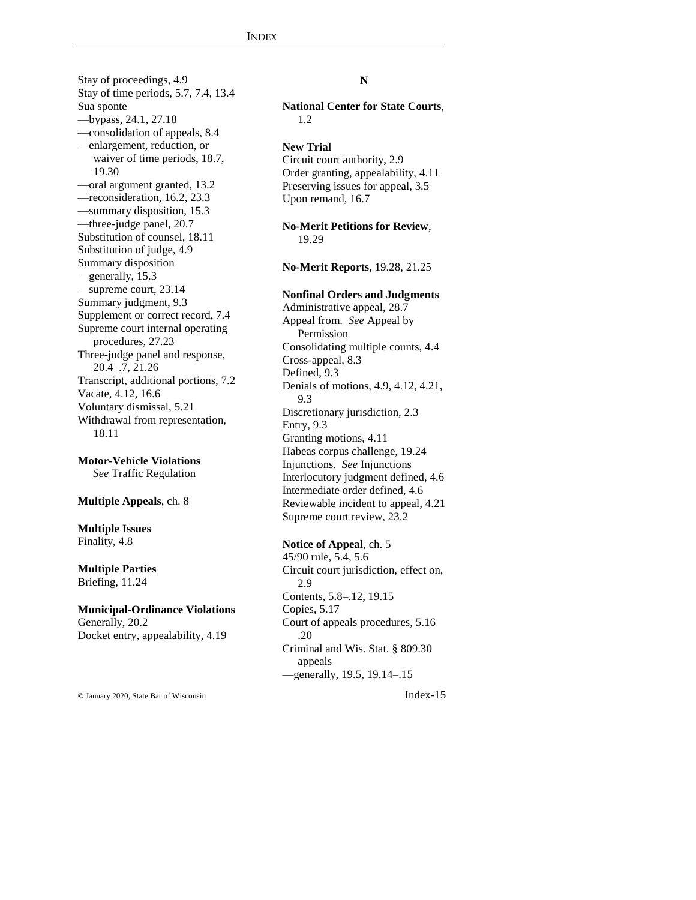Stay of proceedings, 4.9 Stay of time periods, 5.7, 7.4, 13.4 Sua sponte —bypass, 24.1, 27.18 —consolidation of appeals, 8.4 —enlargement, reduction, or waiver of time periods, 18.7, 19.30 —oral argument granted, 13.2 —reconsideration, 16.2, 23.3 —summary disposition, 15.3 —three-judge panel, 20.7 Substitution of counsel, 18.11 Substitution of judge, 4.9 Summary disposition —generally, 15.3 —supreme court, 23.14 Summary judgment, 9.3 Supplement or correct record, 7.4 Supreme court internal operating procedures, 27.23 Three-judge panel and response, 20.4–.7, 21.26 Transcript, additional portions, 7.2 Vacate, 4.12, 16.6 Voluntary dismissal, 5.21 Withdrawal from representation, 18.11

**Motor-Vehicle Violations** *See* Traffic Regulation

#### **Multiple Appeals**, ch. 8

#### **Multiple Issues** Finality, 4.8

#### **Multiple Parties** Briefing, 11.24

#### **Municipal-Ordinance Violations** Generally, 20.2 Docket entry, appealability, 4.19

## **N**

**National Center for State Courts**, 1.2

#### **New Trial**

Circuit court authority, 2.9 Order granting, appealability, 4.11 Preserving issues for appeal, 3.5 Upon remand, 16.7

**No-Merit Petitions for Review**, 19.29

**No-Merit Reports**, 19.28, 21.25

## **Nonfinal Orders and Judgments**

Administrative appeal, 28.7 Appeal from. *See* Appeal by Permission Consolidating multiple counts, 4.4 Cross-appeal, 8.3 Defined, 9.3 Denials of motions, 4.9, 4.12, 4.21, 9.3 Discretionary jurisdiction, 2.3 Entry, 9.3 Granting motions, 4.11 Habeas corpus challenge, 19.24 Injunctions. *See* Injunctions Interlocutory judgment defined, 4.6 Intermediate order defined, 4.6 Reviewable incident to appeal, 4.21 Supreme court review, 23.2

## **Notice of Appeal**, ch. 5

45/90 rule, 5.4, 5.6 Circuit court jurisdiction, effect on, 2.9 Contents, 5.8–.12, 19.15 Copies, 5.17 Court of appeals procedures, 5.16– .20 Criminal and Wis. Stat. § 809.30 appeals —generally, 19.5, 19.14–.15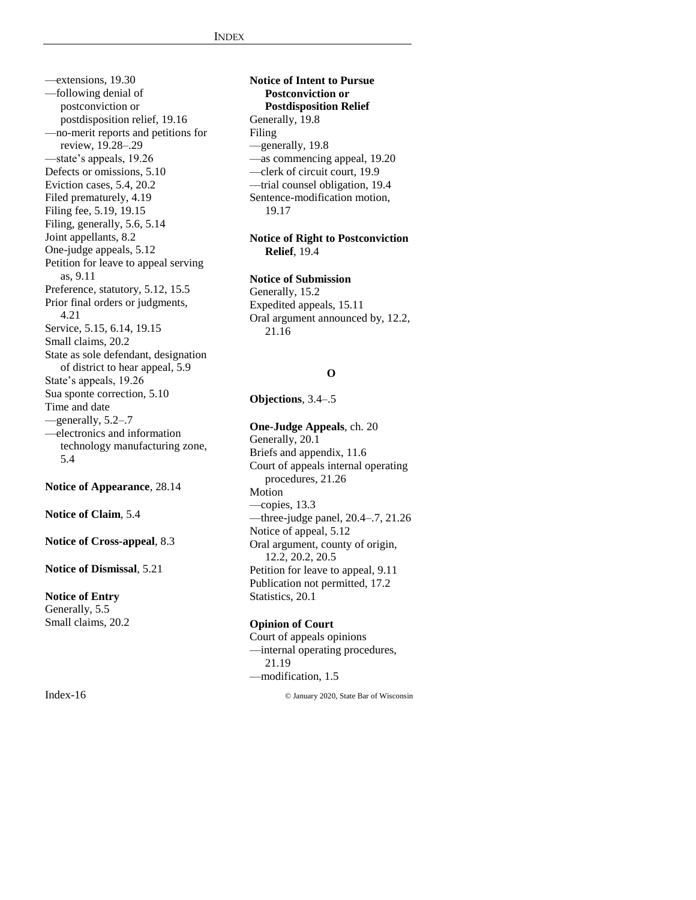—extensions, 19.30 —following denial of postconviction or postdisposition relief, 19.16 —no-merit reports and petitions for review, 19.28–.29 —state's appeals, 19.26 Defects or omissions, 5.10 Eviction cases, 5.4, 20.2 Filed prematurely, 4.19 Filing fee, 5.19, 19.15 Filing, generally, 5.6, 5.14 Joint appellants, 8.2 One-judge appeals, 5.12 Petition for leave to appeal serving as, 9.11 Preference, statutory, 5.12, 15.5 Prior final orders or judgments, 4.21 Service, 5.15, 6.14, 19.15 Small claims, 20.2 State as sole defendant, designation of district to hear appeal, 5.9 State's appeals, 19.26 Sua sponte correction, 5.10 Time and date —generally, 5.2–.7 —electronics and information technology manufacturing zone, 5.4

**Notice of Appearance**, 28.14

**Notice of Claim**, 5.4

**Notice of Cross-appeal**, 8.3

**Notice of Dismissal**, 5.21

**Notice of Entry** Generally, 5.5 Small claims, 20.2

## **Notice of Intent to Pursue Postconviction or Postdisposition Relief** Generally, 19.8 Filing —generally, 19.8 —as commencing appeal, 19.20 —clerk of circuit court, 19.9 —trial counsel obligation, 19.4 Sentence-modification motion, 19.17

## **Notice of Right to Postconviction Relief**, 19.4

#### **Notice of Submission**

Generally, 15.2 Expedited appeals, 15.11 Oral argument announced by, 12.2, 21.16

#### **O**

**Objections**, 3.4–.5

#### **One-Judge Appeals**, ch. 20

Generally, 20.1 Briefs and appendix, 11.6 Court of appeals internal operating procedures, 21.26 Motion —copies, 13.3 —three-judge panel, 20.4–.7, 21.26 Notice of appeal, 5.12 Oral argument, county of origin, 12.2, 20.2, 20.5 Petition for leave to appeal, 9.11 Publication not permitted, 17.2 Statistics, 20.1

## **Opinion of Court**

Court of appeals opinions —internal operating procedures, 21.19 —modification, 1.5

Index-16 © January 2020, State Bar of Wisconsin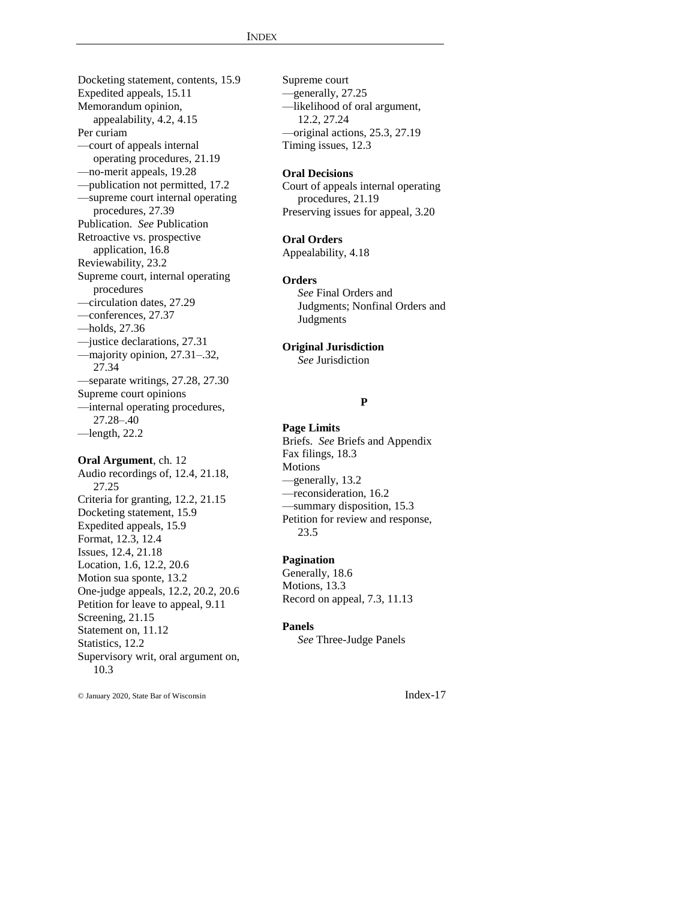Docketing statement, contents, 15.9 Expedited appeals, 15.11 Memorandum opinion, appealability, 4.2, 4.15 Per curiam —court of appeals internal operating procedures, 21.19 —no-merit appeals, 19.28 —publication not permitted, 17.2 —supreme court internal operating procedures, 27.39 Publication. *See* Publication Retroactive vs. prospective application, 16.8 Reviewability, 23.2 Supreme court, internal operating procedures —circulation dates, 27.29 —conferences, 27.37 —holds, 27.36 —justice declarations, 27.31 —majority opinion, 27.31–.32, 27.34 —separate writings, 27.28, 27.30 Supreme court opinions —internal operating procedures, 27.28–.40  $-$ length, 22.2

#### **Oral Argument**, ch. 12

Audio recordings of, 12.4, 21.18, 27.25 Criteria for granting, 12.2, 21.15 Docketing statement, 15.9 Expedited appeals, 15.9 Format, 12.3, 12.4 Issues, 12.4, 21.18 Location, 1.6, 12.2, 20.6 Motion sua sponte, 13.2 One-judge appeals, 12.2, 20.2, 20.6 Petition for leave to appeal, 9.11 Screening, 21.15 Statement on, 11.12 Statistics, 12.2 Supervisory writ, oral argument on, 10.3

Supreme court —generally, 27.25 —likelihood of oral argument, 12.2, 27.24 —original actions, 25.3, 27.19 Timing issues, 12.3

#### **Oral Decisions**

Court of appeals internal operating procedures, 21.19 Preserving issues for appeal, 3.20

#### **Oral Orders**

Appealability, 4.18

#### **Orders**

*See* Final Orders and Judgments; Nonfinal Orders and Judgments

#### **Original Jurisdiction**

*See* Jurisdiction

## **P**

#### **Page Limits**

Briefs. *See* Briefs and Appendix Fax filings, 18.3 Motions —generally, 13.2 —reconsideration, 16.2 —summary disposition, 15.3 Petition for review and response, 23.5

#### **Pagination**

Generally, 18.6 Motions, 13.3 Record on appeal, 7.3, 11.13

#### **Panels**

*See* Three-Judge Panels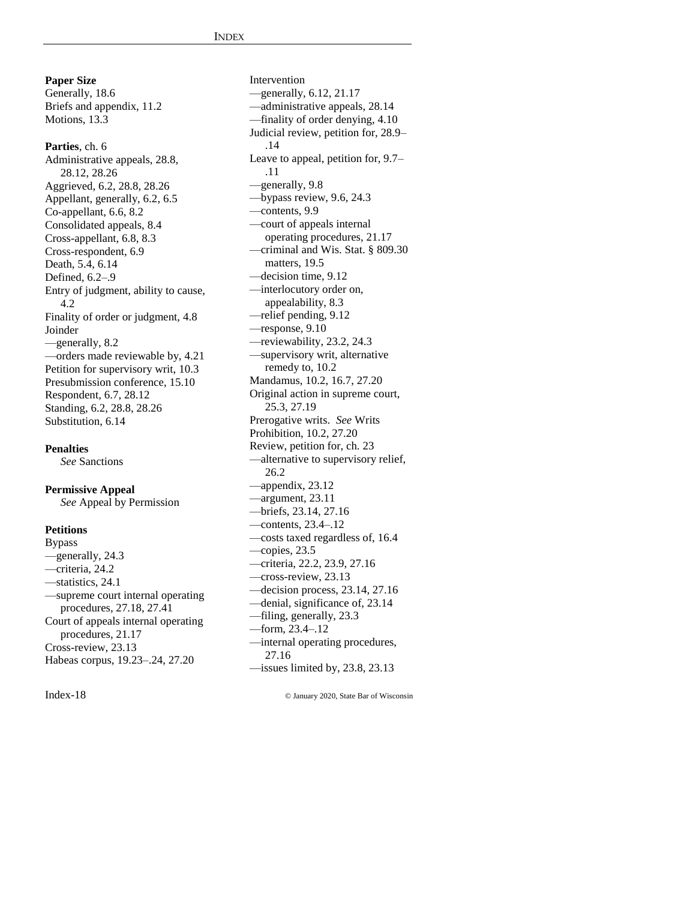**Paper Size** Generally, 18.6 Briefs and appendix, 11.2 Motions, 13.3

**Parties**, ch. 6 Administrative appeals, 28.8, 28.12, 28.26 Aggrieved, 6.2, 28.8, 28.26 Appellant, generally, 6.2, 6.5 Co-appellant, 6.6, 8.2 Consolidated appeals, 8.4 Cross-appellant, 6.8, 8.3 Cross-respondent, 6.9 Death, 5.4, 6.14 Defined, 6.2–.9 Entry of judgment, ability to cause, 4.2 Finality of order or judgment, 4.8 Joinder —generally, 8.2 —orders made reviewable by, 4.21 Petition for supervisory writ, 10.3 Presubmission conference, 15.10 Respondent, 6.7, 28.12 Standing, 6.2, 28.8, 28.26 Substitution, 6.14

**Penalties**

*See* Sanctions

## **Permissive Appeal**

*See* Appeal by Permission

#### **Petitions**

Bypass —generally, 24.3 —criteria, 24.2 —statistics, 24.1 —supreme court internal operating procedures, 27.18, 27.41 Court of appeals internal operating procedures, 21.17 Cross-review, 23.13 Habeas corpus, 19.23–.24, 27.20

Intervention —generally, 6.12, 21.17 —administrative appeals, 28.14 —finality of order denying, 4.10 Judicial review, petition for, 28.9– .14 Leave to appeal, petition for, 9.7– .11 —generally, 9.8 —bypass review, 9.6, 24.3 —contents, 9.9 —court of appeals internal operating procedures, 21.17 —criminal and Wis. Stat. § 809.30 matters, 19.5 —decision time, 9.12 —interlocutory order on, appealability, 8.3 —relief pending, 9.12 —response, 9.10 —reviewability, 23.2, 24.3 —supervisory writ, alternative remedy to, 10.2 Mandamus, 10.2, 16.7, 27.20 Original action in supreme court, 25.3, 27.19 Prerogative writs. *See* Writs Prohibition, 10.2, 27.20 Review, petition for, ch. 23 —alternative to supervisory relief, 26.2 —appendix, 23.12 —argument, 23.11 —briefs, 23.14, 27.16 —contents, 23.4–.12 —costs taxed regardless of, 16.4 —copies, 23.5 —criteria, 22.2, 23.9, 27.16 —cross-review, 23.13 —decision process, 23.14, 27.16 —denial, significance of, 23.14 —filing, generally, 23.3 —form, 23.4–.12 —internal operating procedures, 27.16 —issues limited by, 23.8, 23.13

Index-18 © January 2020, State Bar of Wisconsin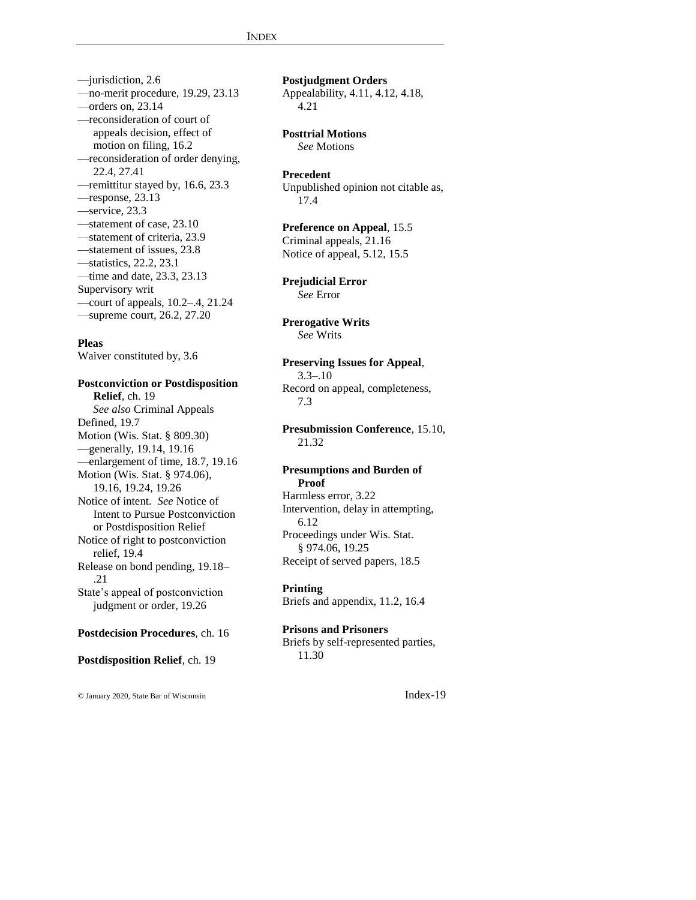—jurisdiction, 2.6 —no-merit procedure, 19.29, 23.13 —orders on, 23.14 —reconsideration of court of appeals decision, effect of motion on filing, 16.2 —reconsideration of order denying, 22.4, 27.41 —remittitur stayed by, 16.6, 23.3 —response, 23.13 —service, 23.3 —statement of case, 23.10 —statement of criteria, 23.9 —statement of issues, 23.8 —statistics, 22.2, 23.1 —time and date, 23.3, 23.13 Supervisory writ —court of appeals, 10.2–.4, 21.24 —supreme court, 26.2, 27.20

## **Pleas**

Waiver constituted by, 3.6

**Postconviction or Postdisposition Relief**, ch. 19 *See also* Criminal Appeals Defined, 19.7 Motion (Wis. Stat. § 809.30) —generally, 19.14, 19.16 —enlargement of time, 18.7, 19.16 Motion (Wis. Stat. § 974.06), 19.16, 19.24, 19.26 Notice of intent. *See* Notice of Intent to Pursue Postconviction or Postdisposition Relief Notice of right to postconviction relief, 19.4 Release on bond pending, 19.18– .21 State's appeal of postconviction judgment or order, 19.26

## **Postdecision Procedures**, ch. 16

**Postdisposition Relief**, ch. 19

© January 2020, State Bar of Wisconsin Index-19

**Postjudgment Orders** Appealability, 4.11, 4.12, 4.18, 4.21

## **Posttrial Motions**

*See* Motions

## **Precedent**

Unpublished opinion not citable as, 17.4

## **Preference on Appeal**, 15.5

Criminal appeals, 21.16 Notice of appeal, 5.12, 15.5

**Prejudicial Error** *See* Error

#### **Prerogative Writs** *See* Writs

## **Preserving Issues for Appeal**, 3.3–.10

Record on appeal, completeness, 7.3

## **Presubmission Conference**, 15.10, 21.32

#### **Presumptions and Burden of Proof**

Harmless error, 3.22 Intervention, delay in attempting, 6.12 Proceedings under Wis. Stat. § 974.06, 19.25 Receipt of served papers, 18.5

**Printing**

Briefs and appendix, 11.2, 16.4

#### **Prisons and Prisoners** Briefs by self-represented parties,

11.30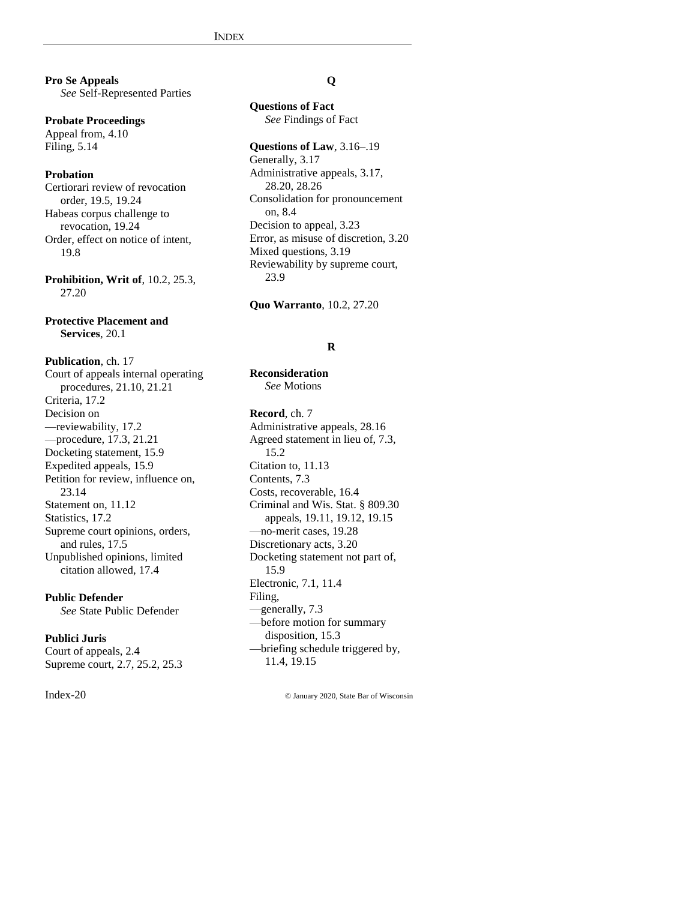**Pro Se Appeals** *See* Self-Represented Parties

**Probate Proceedings** Appeal from, 4.10 Filing, 5.14

## **Probation**

Certiorari review of revocation order, 19.5, 19.24 Habeas corpus challenge to revocation, 19.24 Order, effect on notice of intent, 19.8

**Prohibition, Writ of**, 10.2, 25.3, 27.20

**Protective Placement and Services**, 20.1

**Publication**, ch. 17 Court of appeals internal operating procedures, 21.10, 21.21 Criteria, 17.2 Decision on —reviewability, 17.2 —procedure, 17.3, 21.21 Docketing statement, 15.9 Expedited appeals, 15.9 Petition for review, influence on, 23.14 Statement on, 11.12 Statistics, 17.2 Supreme court opinions, orders, and rules, 17.5 Unpublished opinions, limited citation allowed, 17.4

**Public Defender** *See* State Public Defender

#### **Publici Juris**

Court of appeals, 2.4 Supreme court, 2.7, 25.2, 25.3

## **Q**

**Questions of Fact** *See* Findings of Fact

#### **Questions of Law**, 3.16–.19

Generally, 3.17 Administrative appeals, 3.17, 28.20, 28.26 Consolidation for pronouncement on, 8.4 Decision to appeal, 3.23 Error, as misuse of discretion, 3.20 Mixed questions, 3.19 Reviewability by supreme court, 23.9

**Quo Warranto**, 10.2, 27.20

#### **R**

**Reconsideration** *See* Motions

**Record**, ch. 7 Administrative appeals, 28.16 Agreed statement in lieu of, 7.3, 15.2 Citation to, 11.13 Contents, 7.3 Costs, recoverable, 16.4 Criminal and Wis. Stat. § 809.30 appeals, 19.11, 19.12, 19.15 —no-merit cases, 19.28 Discretionary acts, 3.20 Docketing statement not part of, 15.9 Electronic, 7.1, 11.4 Filing, —generally, 7.3 —before motion for summary disposition, 15.3 —briefing schedule triggered by, 11.4, 19.15

Index-20 © January 2020, State Bar of Wisconsin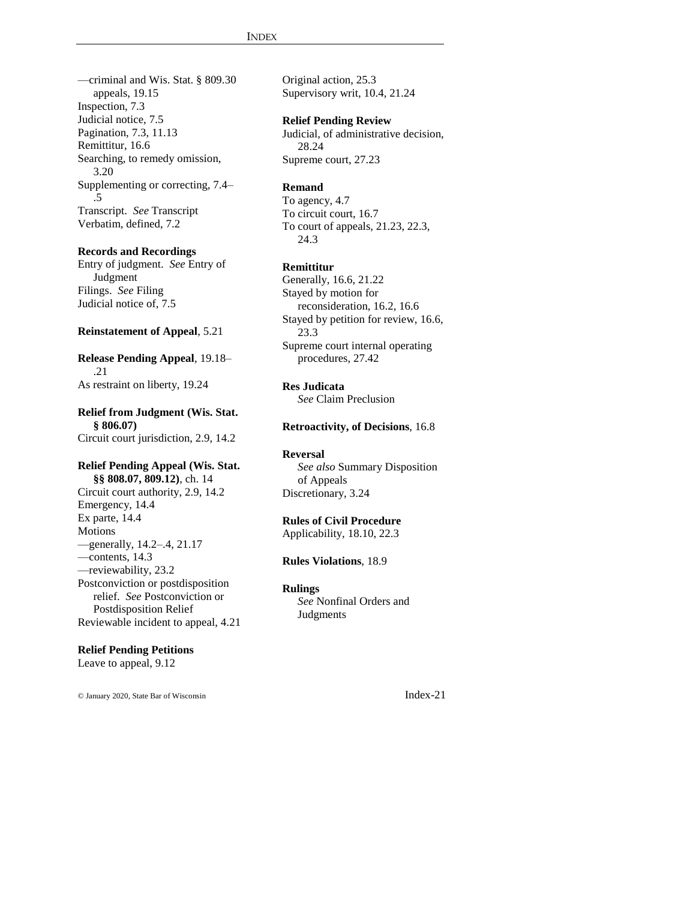—criminal and Wis. Stat. § 809.30 appeals, 19.15 Inspection, 7.3 Judicial notice, 7.5 Pagination, 7.3, 11.13 Remittitur, 16.6 Searching, to remedy omission, 3.20 Supplementing or correcting, 7.4– .5 Transcript. *See* Transcript Verbatim, defined, 7.2

#### **Records and Recordings**

Entry of judgment. *See* Entry of Judgment Filings. *See* Filing Judicial notice of, 7.5

## **Reinstatement of Appeal**, 5.21

**Release Pending Appeal**, 19.18– .21 As restraint on liberty, 19.24

**Relief from Judgment (Wis. Stat. § 806.07)** Circuit court jurisdiction, 2.9, 14.2

#### **Relief Pending Appeal (Wis. Stat.**

**§§ 808.07, 809.12)**, ch. 14 Circuit court authority, 2.9, 14.2 Emergency, 14.4 Ex parte, 14.4 **Motions** —generally, 14.2–.4, 21.17 —contents, 14.3 —reviewability, 23.2 Postconviction or postdisposition relief. *See* Postconviction or Postdisposition Relief Reviewable incident to appeal, 4.21

#### **Relief Pending Petitions**

Leave to appeal, 9.12

© January 2020, State Bar of Wisconsin Index-21

Original action, 25.3 Supervisory writ, 10.4, 21.24

## **Relief Pending Review**

Judicial, of administrative decision, 28.24 Supreme court, 27.23

#### **Remand**

To agency, 4.7 To circuit court, 16.7 To court of appeals, 21.23, 22.3, 24.3

#### **Remittitur**

Generally, 16.6, 21.22 Stayed by motion for reconsideration, 16.2, 16.6 Stayed by petition for review, 16.6, 23.3 Supreme court internal operating procedures, 27.42

#### **Res Judicata**

*See* Claim Preclusion

#### **Retroactivity, of Decisions**, 16.8

#### **Reversal**

*See also* Summary Disposition of Appeals Discretionary, 3.24

#### **Rules of Civil Procedure**

Applicability, 18.10, 22.3

**Rules Violations**, 18.9

#### **Rulings**

*See* Nonfinal Orders and Judgments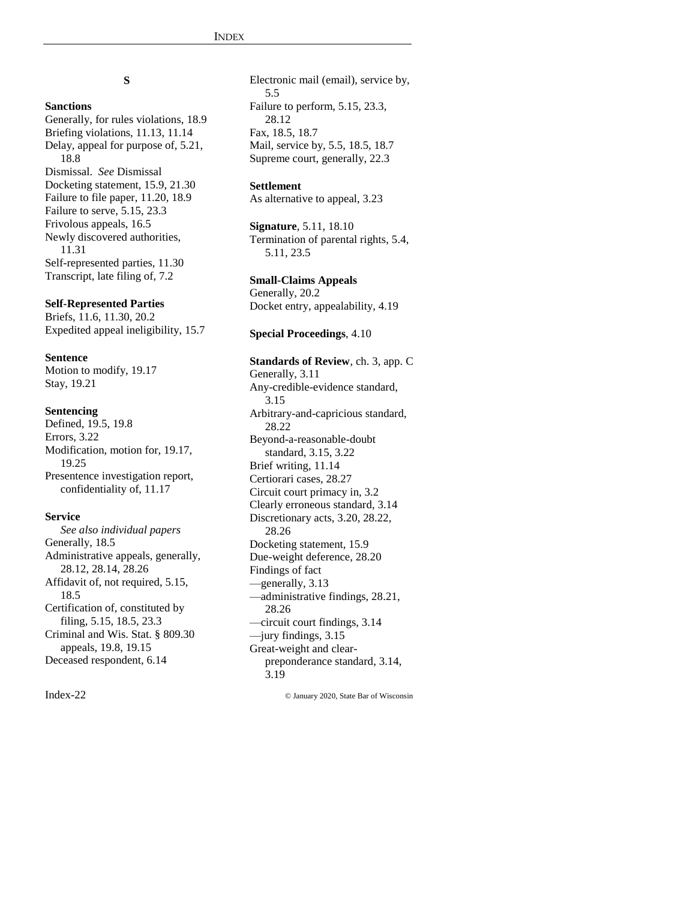# **S**

## **Sanctions**

Generally, for rules violations, 18.9 Briefing violations, 11.13, 11.14 Delay, appeal for purpose of, 5.21, 18.8 Dismissal. *See* Dismissal Docketing statement, 15.9, 21.30 Failure to file paper, 11.20, 18.9 Failure to serve, 5.15, 23.3 Frivolous appeals, 16.5 Newly discovered authorities, 11.31 Self-represented parties, 11.30 Transcript, late filing of, 7.2

## **Self-Represented Parties**

Briefs, 11.6, 11.30, 20.2 Expedited appeal ineligibility, 15.7

## **Sentence**

Motion to modify, 19.17 Stay, 19.21

## **Sentencing**

Defined, 19.5, 19.8 Errors, 3.22 Modification, motion for, 19.17, 19.25 Presentence investigation report, confidentiality of, 11.17

#### **Service**

*See also individual papers* Generally, 18.5 Administrative appeals, generally, 28.12, 28.14, 28.26 Affidavit of, not required, 5.15, 18.5 Certification of, constituted by filing, 5.15, 18.5, 23.3 Criminal and Wis. Stat. § 809.30 appeals, 19.8, 19.15 Deceased respondent, 6.14

Electronic mail (email), service by, 5.5 Failure to perform, 5.15, 23.3, 28.12 Fax, 18.5, 18.7 Mail, service by, 5.5, 18.5, 18.7 Supreme court, generally, 22.3

## **Settlement**

As alternative to appeal, 3.23

**Signature**, 5.11, 18.10 Termination of parental rights, 5.4, 5.11, 23.5

## **Small-Claims Appeals**

Generally, 20.2 Docket entry, appealability, 4.19

#### **Special Proceedings**, 4.10

#### **Standards of Review**, ch. 3, app. C

Generally, 3.11 Any-credible-evidence standard, 3.15 Arbitrary-and-capricious standard, 28.22 Beyond-a-reasonable-doubt standard, 3.15, 3.22 Brief writing, 11.14 Certiorari cases, 28.27 Circuit court primacy in, 3.2 Clearly erroneous standard, 3.14 Discretionary acts, 3.20, 28.22, 28.26 Docketing statement, 15.9 Due-weight deference, 28.20 Findings of fact —generally, 3.13 —administrative findings, 28.21, 28.26 —circuit court findings, 3.14 —jury findings, 3.15 Great-weight and clearpreponderance standard, 3.14, 3.19

Index-22 © January 2020, State Bar of Wisconsin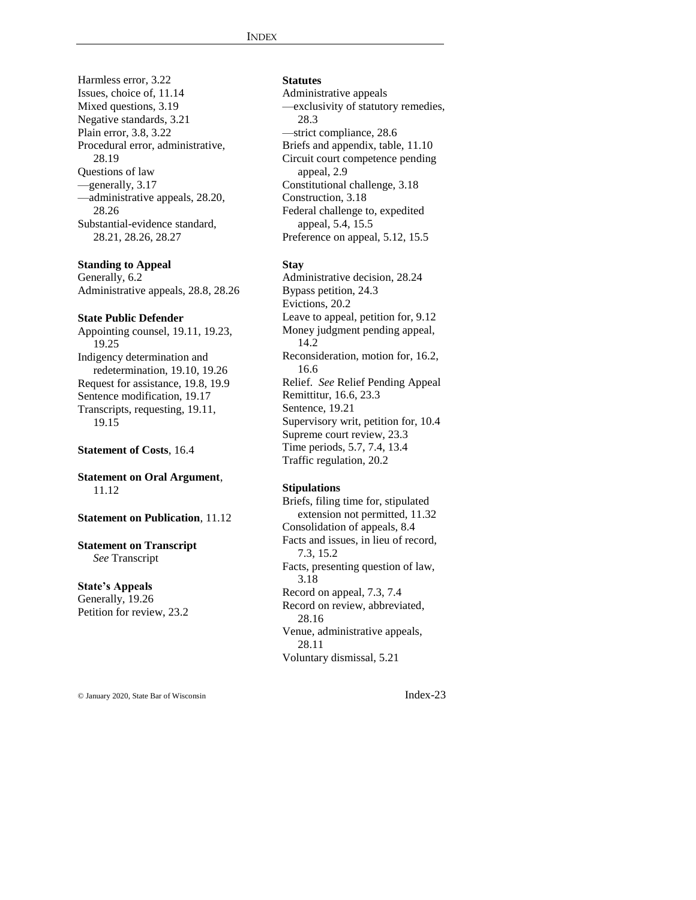Harmless error, 3.22 Issues, choice of, 11.14 Mixed questions, 3.19 Negative standards, 3.21 Plain error, 3.8, 3.22 Procedural error, administrative, 28.19 Questions of law —generally, 3.17 —administrative appeals, 28.20, 28.26 Substantial-evidence standard, 28.21, 28.26, 28.27

#### **Standing to Appeal**

Generally, 6.2 Administrative appeals, 28.8, 28.26

#### **State Public Defender**

Appointing counsel, 19.11, 19.23, 19.25 Indigency determination and redetermination, 19.10, 19.26 Request for assistance, 19.8, 19.9 Sentence modification, 19.17 Transcripts, requesting, 19.11, 19.15

**Statement of Costs**, 16.4

**Statement on Oral Argument**, 11.12

**Statement on Publication**, 11.12

**Statement on Transcript** *See* Transcript

**State's Appeals** Generally, 19.26 Petition for review, 23.2 **Statutes**

Administrative appeals —exclusivity of statutory remedies, 28.3 —strict compliance, 28.6 Briefs and appendix, table, 11.10 Circuit court competence pending appeal, 2.9 Constitutional challenge, 3.18 Construction, 3.18 Federal challenge to, expedited appeal, 5.4, 15.5 Preference on appeal, 5.12, 15.5

#### **Stay**

Administrative decision, 28.24 Bypass petition, 24.3 Evictions, 20.2 Leave to appeal, petition for, 9.12 Money judgment pending appeal, 14.2 Reconsideration, motion for, 16.2, 16.6 Relief. *See* Relief Pending Appeal Remittitur, 16.6, 23.3 Sentence, 19.21 Supervisory writ, petition for, 10.4 Supreme court review, 23.3 Time periods, 5.7, 7.4, 13.4 Traffic regulation, 20.2

#### **Stipulations**

Briefs, filing time for, stipulated extension not permitted, 11.32 Consolidation of appeals, 8.4 Facts and issues, in lieu of record, 7.3, 15.2 Facts, presenting question of law, 3.18 Record on appeal, 7.3, 7.4 Record on review, abbreviated, 28.16 Venue, administrative appeals, 28.11 Voluntary dismissal, 5.21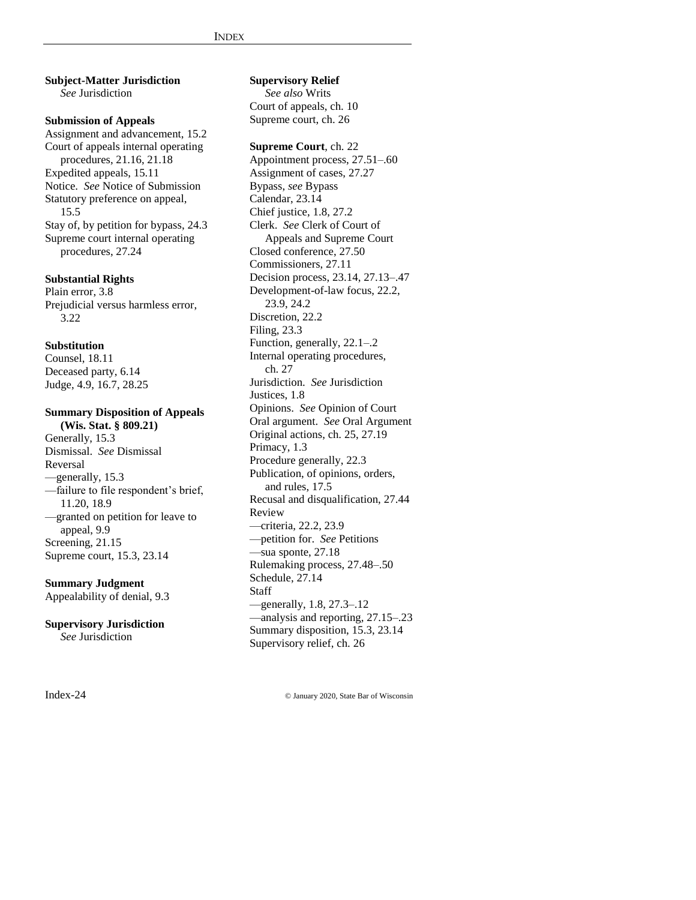**Subject-Matter Jurisdiction** *See* Jurisdiction

**Submission of Appeals** Assignment and advancement, 15.2 Court of appeals internal operating procedures, 21.16, 21.18 Expedited appeals, 15.11 Notice. *See* Notice of Submission Statutory preference on appeal, 15.5 Stay of, by petition for bypass, 24.3 Supreme court internal operating procedures, 27.24

**Substantial Rights** Plain error, 3.8 Prejudicial versus harmless error, 3.22

#### **Substitution**

Counsel, 18.11 Deceased party, 6.14 Judge, 4.9, 16.7, 28.25

## **Summary Disposition of Appeals (Wis. Stat. § 809.21)**

Generally, 15.3 Dismissal. *See* Dismissal Reversal —generally, 15.3 —failure to file respondent's brief, 11.20, 18.9 —granted on petition for leave to appeal, 9.9 Screening, 21.15 Supreme court, 15.3, 23.14

#### **Summary Judgment**

Appealability of denial, 9.3

**Supervisory Jurisdiction** *See* Jurisdiction

#### **Supervisory Relief** *See also* Writs

Court of appeals, ch. 10 Supreme court, ch. 26

### **Supreme Court**, ch. 22

Appointment process, 27.51–.60 Assignment of cases, 27.27 Bypass, *see* Bypass Calendar, 23.14 Chief justice, 1.8, 27.2 Clerk. *See* Clerk of Court of Appeals and Supreme Court Closed conference, 27.50 Commissioners, 27.11 Decision process, 23.14, 27.13–.47 Development-of-law focus, 22.2, 23.9, 24.2 Discretion, 22.2 Filing, 23.3 Function, generally, 22.1–.2 Internal operating procedures, ch. 27 Jurisdiction. *See* Jurisdiction Justices, 1.8 Opinions. *See* Opinion of Court Oral argument. *See* Oral Argument Original actions, ch. 25, 27.19 Primacy, 1.3 Procedure generally, 22.3 Publication, of opinions, orders, and rules, 17.5 Recusal and disqualification, 27.44 Review —criteria, 22.2, 23.9 —petition for. *See* Petitions —sua sponte, 27.18 Rulemaking process, 27.48–.50 Schedule, 27.14 Staff —generally, 1.8, 27.3–.12 —analysis and reporting, 27.15–.23 Summary disposition, 15.3, 23.14 Supervisory relief, ch. 26

Index-24 © January 2020, State Bar of Wisconsin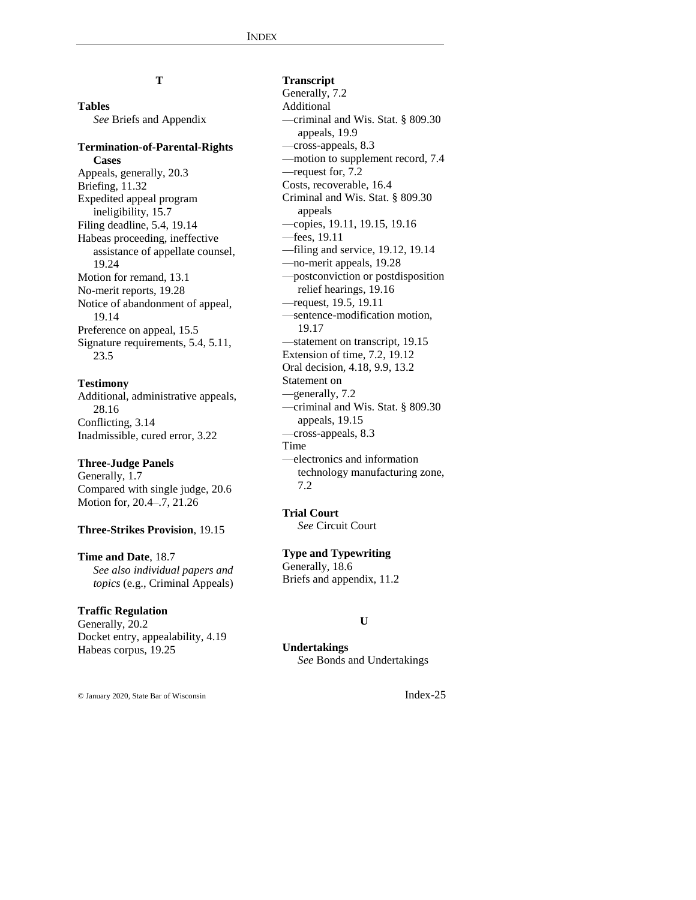# **T**

**Tables**

*See* Briefs and Appendix

## **Termination-of-Parental-Rights Cases**

Appeals, generally, 20.3 Briefing, 11.32 Expedited appeal program ineligibility, 15.7 Filing deadline, 5.4, 19.14 Habeas proceeding, ineffective assistance of appellate counsel, 19.24 Motion for remand, 13.1 No-merit reports, 19.28 Notice of abandonment of appeal, 19.14 Preference on appeal, 15.5 Signature requirements, 5.4, 5.11, 23.5

#### **Testimony**

Additional, administrative appeals, 28.16 Conflicting, 3.14 Inadmissible, cured error, 3.22

## **Three-Judge Panels**

Generally, 1.7 Compared with single judge, 20.6 Motion for, 20.4–.7, 21.26

#### **Three-Strikes Provision**, 19.15

**Time and Date**, 18.7 *See also individual papers and topics* (e.g., Criminal Appeals)

#### **Traffic Regulation**

Generally, 20.2 Docket entry, appealability, 4.19 Habeas corpus, 19.25

#### **Transcript**

Generally, 7.2 Additional —criminal and Wis. Stat. § 809.30 appeals, 19.9 —cross-appeals, 8.3 —motion to supplement record, 7.4 —request for, 7.2 Costs, recoverable, 16.4 Criminal and Wis. Stat. § 809.30 appeals —copies, 19.11, 19.15, 19.16 —fees, 19.11 —filing and service, 19.12, 19.14 —no-merit appeals, 19.28 —postconviction or postdisposition relief hearings, 19.16 —request, 19.5, 19.11 —sentence-modification motion, 19.17 —statement on transcript, 19.15 Extension of time, 7.2, 19.12 Oral decision, 4.18, 9.9, 13.2 Statement on —generally, 7.2 —criminal and Wis. Stat. § 809.30 appeals, 19.15 —cross-appeals, 8.3 Time —electronics and information technology manufacturing zone, 7.2

**Trial Court** *See* Circuit Court

**Type and Typewriting** Generally, 18.6 Briefs and appendix, 11.2

#### **U**

**Undertakings** *See* Bonds and Undertakings